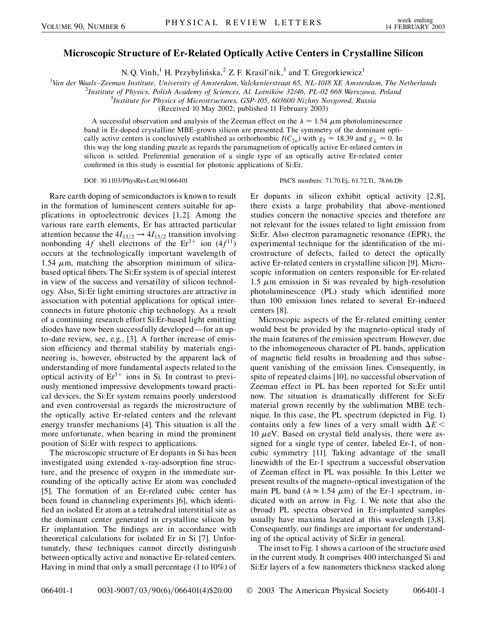## **Microscopic Structure of Er-Related Optically Active Centers in Crystalline Silicon**

N. Q. Vinh,<sup>1</sup> H. Przybylińska,<sup>2</sup> Z. F. Krasil'nik,<sup>3</sup> and T. Gregorkiewicz<sup>1</sup>

<sup>1</sup> Van der Waals–Zeeman Institute, University of Amsterdam, Valckenierstraat 65, NL-1018 XE Amsterdam, The Netherlands<br><sup>2</sup> Institute of Physics, Polish Academy of Sciences, Al Lotników 32/46, PL-02,668 Warszawa, Poland

<sup>2</sup>Institute of Physics, Polish Academy of Sciences, Al. Lotników 32/46, PL-02 668 Warszawa, Poland

*Institute for Physics of Microstructures, GSP-105, 603600 Nizhny Novgorod, Russia*

(Received 10 May 2002; published 11 February 2003)

A successful observation and analysis of the Zeeman effect on the  $\lambda \approx 1.54 \ \mu m$  photoluminescence band in Er-doped crystalline MBE-grown silicon are presented. The symmetry of the dominant optically active centers is conclusively established as orthorhombic  $I(C_{2v})$  with  $g_{\parallel} \approx 18.39$  and  $g_{\perp} \approx 0$ . In this way the long standing puzzle as regards the paramagnetism of optically active Er-related centers in silicon is settled. Preferential generation of a single type of an optically active Er-related center confirmed in this study is essential for photonic applications of Si:Er.

Rare earth doping of semiconductors is known to result in the formation of luminescent centers suitable for applications in optoelectronic devices [1,2]. Among the various rare earth elements, Er has attracted particular attention because the  $4I_{13/2} \rightarrow 4I_{15/2}$  transition involving nonbonding 4*f* shell electrons of the  $Er^{3+}$  ion (4*f*<sup>11</sup>) occurs at the technologically important wavelength of 1.54  $\mu$ m, matching the absorption minimum of silicabased optical fibers. The Si:Er system is of special interest in view of the success and versatility of silicon technology. Also, Si:Er light emitting structures are attractive in association with potential applications for optical interconnects in future photonic chip technology. As a result of a continuing research effort Si:Er-based light emitting diodes have now been successfully developed—for an upto-date review, see, e.g., [3]. A further increase of emission efficiency and thermal stability by materials engineering is, however, obstructed by the apparent lack of understanding of more fundamental aspects related to the optical activity of  $Er^{3+}$  ions in Si. In contrast to previously mentioned impressive developments toward practical devices, the Si:Er system remains poorly understood and even controversial as regards the microstructure of the optically active Er-related centers and the relevant energy transfer mechanisms [4]. This situation is all the more unfortunate, when bearing in mind the prominent position of Si:Er with respect to applications.

The microscopic structure of Er dopants in Si has been investigated using extended x-ray-adsorption fine structure, and the presence of oxygen in the immediate surrounding of the optically active Er atom was concluded [5]. The formation of an Er-related cubic center has been found in channeling experiments [6], which identified an isolated Er atom at a tetrahedral interstitial site as the dominant center generated in crystalline silicon by Er implantation. The findings are in accordance with theoretical calculations for isolated Er in Si [7]. Unfortunately, these techniques cannot directly distinguish between optically active and nonactive Er-related centers. Having in mind that only a small percentage (1 to 10%) of

DOI: 10.1103/PhysRevLett.90.066401 PACS numbers: 71.70.Ej, 61.72.Tt, 78.66.Db

Er dopants in silicon exhibit optical activity [2,8], there exists a large probability that above-mentioned studies concern the nonactive species and therefore are not relevant for the issues related to light emission from Si:Er. Also electron paramagnetic resonance (EPR), the experimental technique for the identification of the microstructure of defects, failed to detect the optically active Er-related centers in crystalline silicon [9]. Microscopic information on centers responsible for Er-related 1.5  $\mu$ m emission in Si was revealed by high-resolution photoluminescence (PL) study which identified more than 100 emission lines related to several Er-induced centers [8].

Microscopic aspects of the Er-related emitting center would best be provided by the magneto-optical study of the main features of the emission spectrum. However, due to the inhomogeneous character of PL bands, application of magnetic field results in broadening and thus subsequent vanishing of the emission lines. Consequently, in spite of repeated claims [10], no successful observation of Zeeman effect in PL has been reported for Si:Er until now. The situation is dramatically different for Si:Er material grown recently by the sublimation MBE technique. In this case, the PL spectrum (depicted in Fig. 1) contains only a few lines of a very small width  $\Delta E$  <  $10 \mu$ eV. Based on crystal field analysis, there were assigned for a single type of center, labeled Er-1, of noncubic symmetry [11]. Taking advantage of the small linewidth of the Er-1 spectrum a successful observation of Zeeman effect in PL was possible. In this Letter we present results of the magneto-optical investigation of the main PL band ( $\lambda \approx 1.54 \mu m$ ) of the Er-1 spectrum, indicated with an arrow in Fig. 1. We note that also the (broad) PL spectra observed in Er-implanted samples usually have maxima located at this wavelength [3,8]. Consequently, our findings are important for understanding of the optical activity of Si:Er in general.

The inset to Fig. 1 shows a cartoon of the structure used in the current study. It comprises 400 interchanged Si and Si:Er layers of a few nanometers thickness stacked along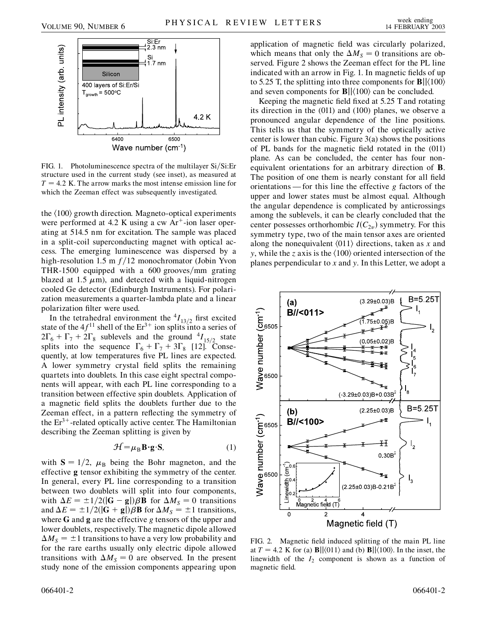

FIG. 1. Photoluminescence spectra of the multilayer Si/Si:Er structure used in the current study (see inset), as measured at  $T = 4.2$  K. The arrow marks the most intense emission line for which the Zeeman effect was subsequently investigated.

the  $\langle 100 \rangle$  growth direction. Magneto-optical experiments were performed at 4.2 K using a cw  $Ar^+$ -ion laser operating at 514.5 nm for excitation. The sample was placed in a split-coil superconducting magnet with optical access. The emerging luminescence was dispersed by a high-resolution 1.5 m  $f/12$  monochromator (Jobin Yvon THR-1500 equipped with a 600 grooves/mm grating blazed at 1.5  $\mu$ m), and detected with a liquid-nitrogen cooled Ge detector (Edinburgh Instruments). For polarization measurements a quarter-lambda plate and a linear polarization filter were used.

In the tetrahedral environment the  $^{4}I_{13/2}$  first excited state of the  $4f^{11}$  shell of the  $Er^{3+}$  ion splits into a series of  $2\Gamma_6 + \Gamma_7 + 2\Gamma_8$  sublevels and the ground  $^{4}I_{15/2}$  state splits into the sequence  $\Gamma_6 + \Gamma_7 + 3\Gamma_8$  [12]. Consequently, at low temperatures five PL lines are expected. A lower symmetry crystal field splits the remaining quartets into doublets. In this case eight spectral components will appear, with each PL line corresponding to a transition between effective spin doublets. Application of a magnetic field splits the doublets further due to the Zeeman effect, in a pattern reflecting the symmetry of the  $Er^{3+}$ -related optically active center. The Hamiltonian describing the Zeeman splitting is given by

$$
\mathcal{H} = \mu_B \mathbf{B} \cdot \mathbf{g} \cdot \mathbf{S},\tag{1}
$$

with  $S = 1/2$ ,  $\mu_B$  being the Bohr magneton, and the effective **g** tensor exhibiting the symmetry of the center. In general, every PL line corresponding to a transition between two doublets will split into four components, with  $\Delta E = \pm 1/2(|\mathbf{G} - \mathbf{g}|)\beta \mathbf{B}$  for  $\Delta M_S = 0$  transitions and  $\Delta E = \pm 1/2(|\mathbf{G} + \mathbf{g}|)\beta \mathbf{B}$  for  $\Delta M_S = \pm 1$  transitions, where **G** and **g** are the effective *g* tensors of the upper and lower doublets, respectively. The magnetic dipole allowed  $\Delta M<sub>S</sub> = \pm 1$  transitions to have a very low probability and for the rare earths usually only electric dipole allowed transitions with  $\Delta M_s = 0$  are observed. In the present study none of the emission components appearing upon application of magnetic field was circularly polarized, which means that only the  $\Delta M<sub>S</sub> = 0$  transitions are observed. Figure 2 shows the Zeeman effect for the PL line indicated with an arrow in Fig. 1. In magnetic fields of up to 5.25 T, the splitting into three components for  $\mathbf{B}||\langle100\rangle$ and seven components for  $\mathbf{B}$ || $\langle 100 \rangle$  can be concluded.

Keeping the magnetic field fixed at 5.25 T and rotating its direction in the (011) and (100) planes, we observe a pronounced angular dependence of the line positions. This tells us that the symmetry of the optically active center is lower than cubic. Figure 3(a) shows the positions of PL bands for the magnetic field rotated in the (011) plane. As can be concluded, the center has four nonequivalent orientations for an arbitrary direction of **B**. The position of one them is nearly constant for all field orientations — for this line the effective *g* factors of the upper and lower states must be almost equal. Although the angular dependence is complicated by anticrossings among the sublevels, it can be clearly concluded that the center possesses orthorhombic  $I(C_{2v})$  symmetry. For this symmetry type, two of the main tensor axes are oriented along the nonequivalent  $\langle 011 \rangle$  directions, taken as *x* and *y*, while the *z* axis is the  $\langle 100 \rangle$  oriented intersection of the planes perpendicular to *x* and *y*. In this Letter, we adopt a

B=5.25T  $(3.29 \pm 0.03)B$  $(a)$ B//<011> Wave number (cm<sup>-1</sup>)<br>မီ<br>ခီ  $75 \pm 0.05$ )B  $(0.05 \pm 0.02)B$  $\mathsf{I}_{8}$  $(3.29 \pm 0.03) B + 0.03 B^2$ B=5.25T  $(b)$ (2.25±0.03)B  $\frac{\mathsf{Wave}}{\mathsf{g}}$ number (cm $\frac{\mathsf{g}}{\mathsf{g}}$ B//<100> Ħ  $0.30B<sup>2</sup>$  $\epsilon^2$ Linewidth  $(2.25 \pm 0.03)$ B-0.21B<sup>2</sup> Magnetic field  $(T)$ 4  $\Omega$ Magnetic field (T)

FIG. 2. Magnetic field induced splitting of the main PL line at  $T = 4.2$  K for (a) **B**| $\left|\langle 011 \rangle$  and (b) **B**| $\left|\langle 100 \rangle$ . In the inset, the linewidth of the  $I_2$  component is shown as a function of magnetic field.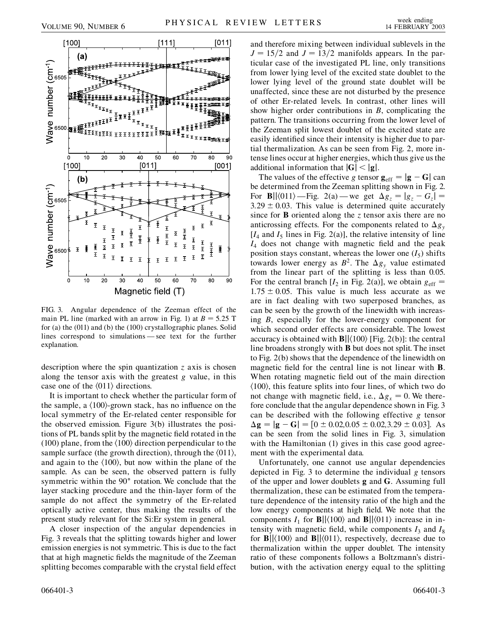

FIG. 3. Angular dependence of the Zeeman effect of the main PL line (marked with an arrow in Fig. 1) at  $B = 5.25$  T for (a) the (011) and (b) the (100) crystallographic planes. Solid lines correspond to simulations — see text for the further explanation.

description where the spin quantization *z* axis is chosen along the tensor axis with the greatest *g* value, in this case one of the  $\langle 011 \rangle$  directions.

It is important to check whether the particular form of the sample, a  $\langle 100 \rangle$ -grown stack, has no influence on the local symmetry of the Er-related center responsible for the observed emission. Figure 3(b) illustrates the positions of PL bands split by the magnetic field rotated in the (100) plane, from the  $\langle 100 \rangle$  direction perpendicular to the sample surface (the growth direction), through the  $\langle 011 \rangle$ , and again to the  $\langle 100 \rangle$ , but now within the plane of the sample. As can be seen, the observed pattern is fully symmetric within the 90° rotation. We conclude that the layer stacking procedure and the thin-layer form of the sample do not affect the symmetry of the Er-related optically active center, thus making the results of the present study relevant for the Si:Er system in general.

A closer inspection of the angular dependencies in Fig. 3 reveals that the splitting towards higher and lower emission energies is not symmetric. This is due to the fact that at high magnetic fields the magnitude of the Zeeman splitting becomes comparable with the crystal field effect and therefore mixing between individual sublevels in the  $J = 15/2$  and  $J = 13/2$  manifolds appears. In the particular case of the investigated PL line, only transitions from lower lying level of the excited state doublet to the lower lying level of the ground state doublet will be unaffected, since these are not disturbed by the presence of other Er-related levels. In contrast, other lines will show higher order contributions in *B*, complicating the pattern. The transitions occurring from the lower level of the Zeeman split lowest doublet of the excited state are easily identified since their intensity is higher due to partial thermalization. As can be seen from Fig. 2, more intense lines occur at higher energies, which thus give us the additional information that  $|\mathbf{G}| < |\mathbf{g}|$ .

The values of the effective *g* tensor  $\mathbf{g}_{\text{eff}} = |\mathbf{g} - \mathbf{G}|$  can be determined from the Zeeman splitting shown in Fig. 2. For **B**| $|\langle 011 \rangle$  —Fig. 2(a) — we get  $\Delta g_z = |g_z - G_z|$  =  $3.29 \pm 0.03$ . This value is determined quite accurately since for **B** oriented along the *z* tensor axis there are no anticrossing effects. For the components related to  $\Delta g_y$  $[I_4$  and  $I_5$  lines in Fig. 2(a)], the relative intensity of line *I*<sup>4</sup> does not change with magnetic field and the peak position stays constant, whereas the lower one  $(I_5)$  shifts towards lower energy as  $B^2$ . The  $\Delta g_v$  value estimated from the linear part of the splitting is less than 0.05. For the central branch  $[I_2$  in Fig. 2(a)], we obtain  $g_{\text{eff}} =$  $1.75 \pm 0.05$ . This value is much less accurate as we are in fact dealing with two superposed branches, as can be seen by the growth of the linewidth with increasing *B*, especially for the lower-energy component for which second order effects are considerable. The lowest accuracy is obtained with  $\mathbf{B}$ | $\langle 100 \rangle$  [Fig. 2(b)]: the central line broadens strongly with **B** but does not split. The inset to Fig. 2(b) shows that the dependence of the linewidth on magnetic field for the central line is not linear with **B**. When rotating magnetic field out of the main direction  $\langle 100 \rangle$ , this feature splits into four lines, of which two do not change with magnetic field, i.e.,  $\Delta g_x = 0$ . We therefore conclude that the angular dependence shown in Fig. 3 can be described with the following effective *g* tensor  $\Delta$ **g** =  $|$ **g** - **G** $|$  =  $[0 \pm 0.02, 0.05 \pm 0.02, 3.29 \pm 0.03]$ . As can be seen from the solid lines in Fig. 3, simulation with the Hamiltonian (1) gives in this case good agreement with the experimental data.

Unfortunately, one cannot use angular dependencies depicted in Fig. 3 to determine the individual *g* tensors of the upper and lower doublets **g** and **G**. Assuming full thermalization, these can be estimated from the temperature dependence of the intensity ratio of the high and the low energy components at high field. We note that the components  $I_1$  for **B**|| $\langle 100 \rangle$  and **B**|| $\langle 011 \rangle$  increase in intensity with magnetic field, while components  $I_3$  and  $I_8$ for  $\mathbf{B}$ || $\langle 100 \rangle$  and  $\mathbf{B}$ || $\langle 011 \rangle$ , respectively, decrease due to thermalization within the upper doublet. The intensity ratio of these components follows a Boltzmann's distribution, with the activation energy equal to the splitting